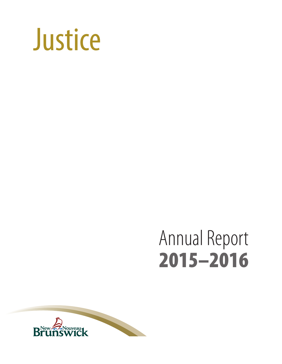

# Annual Report 2015–2016

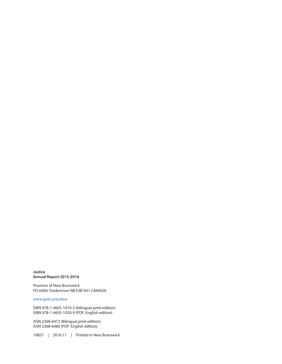**Justice Annual Report 2015-2016**

Province of New Brunswick PO 6000, Fredericton NB E3B 5H1 CANADA

#### [www.gnb.ca/justice](http://www.gnb.ca/justice)

ISBN 978-1-4605-1019-3 (bilingual print edition) ISBN 978-1-4605-1020-9 (PDF: English edition)

ISSN 2368-6472 (Bilingual print edition) ISSN 2368-6480 (PDF: English edition)

10857 | 2016.11 | Printed in New Brunswick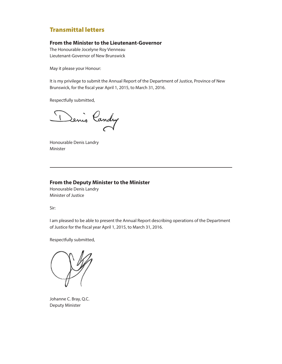#### Transmittal letters

#### **From the Minister to the Lieutenant-Governor**

The Honourable Jocelyne Roy Vienneau Lieutenant-Governor of New Brunswick

May it please your Honour:

It is my privilege to submit the Annual Report of the Department of Justice, Province of New Brunswick, for the fiscal year April 1, 2015, to March 31, 2016.

Respectfully submitted,

Denis Candry

Honourable Denis Landry Minister

#### **From the Deputy Minister to the Minister**

Honourable Denis Landry Minister of Justice

Sir:

I am pleased to be able to present the Annual Report describing operations of the Department of Justice for the fiscal year April 1, 2015, to March 31, 2016.

Respectfully submitted,

Johanne C. Bray, Q.C. Deputy Minister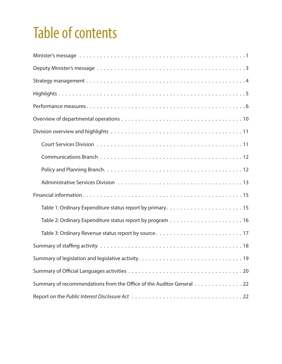## Table of contents

| Table 3: Ordinary Revenue status report by source17                  |
|----------------------------------------------------------------------|
|                                                                      |
|                                                                      |
|                                                                      |
| Summary of recommendations from the Office of the Auditor General 22 |
|                                                                      |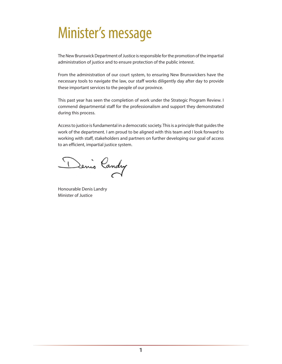### <span id="page-6-0"></span>Minister's message

The New Brunswick Department of Justice is responsible for the promotion of the impartial administration of justice and to ensure protection of the public interest.

From the administration of our court system, to ensuring New Brunswickers have the necessary tools to navigate the law, our staff works diligently day after day to provide these important services to the people of our province.

This past year has seen the completion of work under the Strategic Program Review. I commend departmental staff for the professionalism and support they demonstrated during this process.

Access to justice is fundamental in a democratic society. This is a principle that guides the work of the department. I am proud to be aligned with this team and I look forward to working with staff, stakeholders and partners on further developing our goal of access to an efficient, impartial justice system.

Denis Candry

Honourable Denis Landry Minister of Justice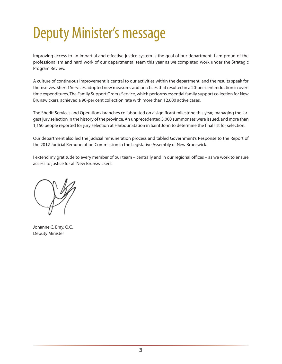## <span id="page-8-0"></span>Deputy Minister's message

Improving access to an impartial and effective justice system is the goal of our department. I am proud of the professionalism and hard work of our departmental team this year as we completed work under the Strategic Program Review.

A culture of continuous improvement is central to our activities within the department, and the results speak for themselves. Sheriff Services adopted new measures and practices that resulted in a 20-per-cent reduction in overtime expenditures. The Family Support Orders Service, which performs essential family support collection for New Brunswickers, achieved a 90-per cent collection rate with more than 12,600 active cases.

The Sheriff Services and Operations branches collaborated on a significant milestone this year, managing the largest jury selection in the history of the province. An unprecedented 5,000 summonses were issued, and more than 1,150 people reported for jury selection at Harbour Station in Saint John to determine the final list for selection.

Our department also led the judicial remuneration process and tabled Government's Response to the Report of the 2012 Judicial Remuneration Commission in the Legislative Assembly of New Brunswick.

I extend my gratitude to every member of our team – centrally and in our regional offices – as we work to ensure access to justice for all New Brunswickers.

Johanne C. Bray, Q.C. Deputy Minister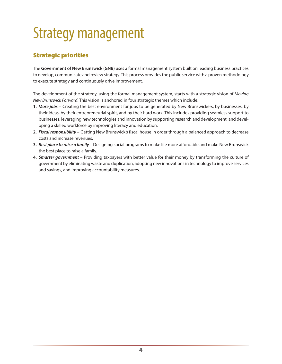## <span id="page-9-0"></span>Strategy management

### Strategic priorities

The **Government of New Brunswick (GNB**) uses a formal management system built on leading business practices to develop, communicate and review strategy. This process provides the public service with a proven methodology to execute strategy and continuously drive improvement.

The development of the strategy, using the formal management system, starts with a strategic vision of *Moving New Brunswick Forward*. This vision is anchored in four strategic themes which include:

- **1.** *More jobs* Creating the best environment for jobs to be generated by New Brunswickers, by businesses, by their ideas, by their entrepreneurial spirit, and by their hard work. This includes providing seamless support to businesses, leveraging new technologies and innovation by supporting research and development, and developing a skilled workforce by improving literacy and education.
- **2.** *Fiscal responsibility* Getting New Brunswick's fiscal house in order through a balanced approach to decrease costs and increase revenues.
- **3.** *Best place to raise a family* Designing social programs to make life more affordable and make New Brunswick the best place to raise a family.
- **4.** *Smarter government* Providing taxpayers with better value for their money by transforming the culture of government by eliminating waste and duplication, adopting new innovations in technology to improve services and savings, and improving accountability measures.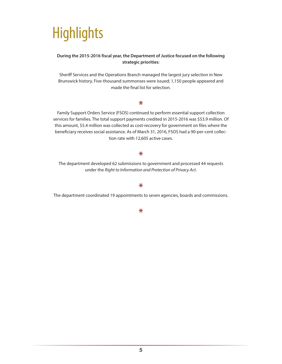## <span id="page-10-0"></span>**Highlights**

#### **During the 2015-2016 fiscal year, the Department of Justice focused on the following strategic priorities**:

Sheriff Services and the Operations Branch managed the largest jury selection in New Brunswick history. Five-thousand summonses were issued; 1,150 people appeared and made the final list for selection.

#### $\ast$

Family Support Orders Service (FSOS) continued to perform essential support collection services for families. The total support payments credited in 2015-2016 was \$53.9 million. Of this amount, \$5.4 million was collected as cost-recovery for government on files where the beneficiary receives social assistance. As of March 31, 2016, FSOS had a 90-per-cent collection rate with 12,605 active cases.

#### $\ast$

The department developed 62 submissions to government and processed 44 requests under the *Right to Information and Protection of Privacy Act*.

#### \*

The department coordinated 19 appointments to seven agencies, boards and commissions.

#### $\ast$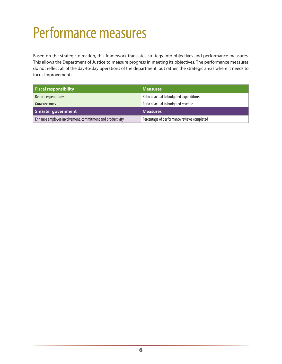## <span id="page-11-0"></span>Performance measures

Based on the strategic direction, this framework translates strategy into objectives and performance measures. This allows the Department of Justice to measure progress in meeting its objectives. The performance measures do not reflect all of the day-to-day operations of the department, but rather, the strategic areas where it needs to focus improvements.

| <b>Fiscal responsibility</b>                              | <b>Measures</b>                             |
|-----------------------------------------------------------|---------------------------------------------|
| Reduce expenditures                                       | Ratio of actual to budgeted expenditures    |
| Grow revenues                                             | Ratio of actual to budgeted revenue         |
| Smarter government                                        | <b>Measures</b>                             |
| Enhance employee involvement, commitment and productivity | Percentage of performance reviews completed |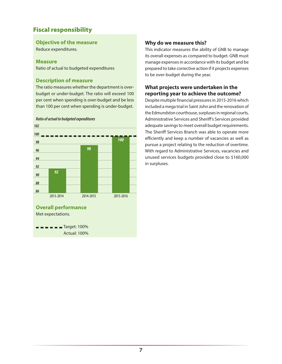### Fiscal responsibility

### **Objective of the measure**

Reduce expenditures.

#### **Measure**

Ratio of actual to budgeted expenditures

#### **Description of measure**

The ratio measures whether the department is overbudget or under-budget. The ratio will exceed 100 per cent when spending is over-budget and be less than 100 per cent when spending is under-budget.



#### *Ratio of actual to budgeted expenditures*

#### **Why do we measure this?**

This indicator measures the ability of GNB to manage its overall expenses as compared to budget. GNB must manage expenses in accordance with its budget and be prepared to take corrective action if it projects expenses to be over-budget during the year.

#### **What projects were undertaken in the reporting year to achieve the outcome?**

Despite multiple financial pressures in 2015-2016 which included a mega trial in Saint John and the renovation of the Edmundston courthouse, surpluses in regional courts, Administrative Services and Sheriff's Services provided adequate savings to meet overall budget requirements. The Sheriff Services Branch was able to operate more efficiently and keep a number of vacancies as well as pursue a project relating to the reduction of overtime. With regard to Administrative Services, vacancies and unused services budgets provided close to \$160,000 in surpluses.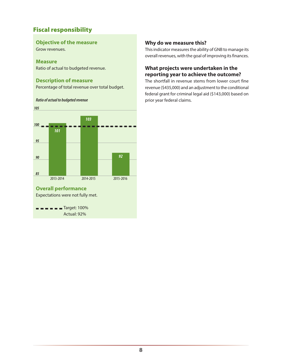### Fiscal responsibility

#### **Objective of the measure**

Grow revenues.

#### **Measure**

Ratio of actual to budgeted revenue.

#### **Description of measure**

Percentage of total revenue over total budget.

#### *Ratio of actual to budgeted revenue*



#### **Why do we measure this?**

This indicator measures the ability of GNB to manage its overall revenues, with the goal of improving its finances.

#### **What projects were undertaken in the reporting year to achieve the outcome?**

The shortfall in revenue stems from lower court fine revenue (\$435,000) and an adjustment to the conditional federal grant for criminal legal aid (\$143,000) based on prior year federal claims.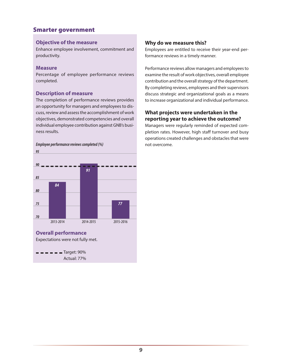### Smarter government

#### **Objective of the measure**

Enhance employee involvement, commitment and productivity.

#### **Measure**

Percentage of employee performance reviews completed.

#### **Description of measure**

The completion of performance reviews provides an opportunity for managers and employees to discuss, review and assess the accomplishment of work objectives, demonstrated competencies and overall individual employee contribution against GNB's business results.

#### *Employee performance reviews completed (%)*

#### **Why do we measure this?**

Employees are entitled to receive their year-end performance reviews in a timely manner.

Performance reviews allow managers and employees to examine the result of work objectives, overall employee contribution and the overall strategy of the department. By completing reviews, employees and their supervisors discuss strategic and organizational goals as a means to increase organizational and individual performance.

#### **What projects were undertaken in the reporting year to achieve the outcome?**

Managers were regularly reminded of expected completion rates. However, high staff turnover and busy operations created challenges and obstacles that were not overcome.

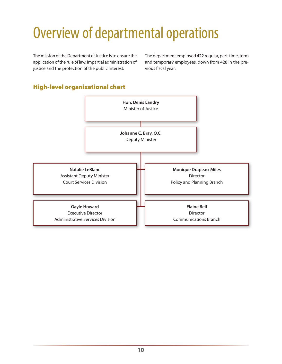## <span id="page-15-0"></span>Overview of departmental operations

The mission of the Department of Justice is to ensure the application of the rule of law, impartial administration of justice and the protection of the public interest.

The department employed 422 regular, part-time, term and temporary employees, down from 428 in the previous fiscal year.

### High-level organizational chart

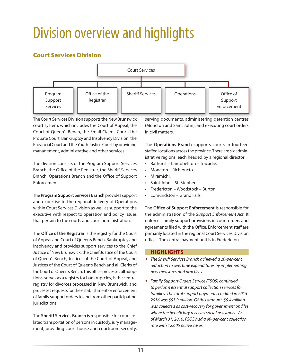## <span id="page-16-0"></span>Division overview and highlights

### Court Services Division



The Court Services Division supports the New Brunswick court system, which includes the Court of Appeal, the Court of Queen's Bench, the Small Claims Court, the Probate Court, Bankruptcy and Insolvency Division, the Provincial Court and the Youth Justice Court by providing management, administrative and other services.

The division consists of the Program Support Services Branch, the Office of the Registrar, the Sheriff Services Branch, Operations Branch and the Office of Support Enforcement.

The **Program Support Services Branch** provides support and expertise to the regional delivery of Operations within Court Services Division as well as support to the executive with respect to operation and policy issues that pertain to the courts and court administration.

The **Office of the Registrar** is the registry for the Court of Appeal and Court of Queen's Bench, Bankruptcy and Insolvency and provides support services to the Chief Justice of New Brunswick, the Chief Justice of the Court of Queen's Bench, Justices of the Court of Appeal, and Justices of the Court of Queen's Bench and all Clerks of the Court of Queen's Bench. This office processes all adoptions, serves as a registry for bankruptcies, is the central registry for divorces processed in New Brunswick, and processes requests for the establishment or enforcement of family support orders to and from other participating jurisdictions.

The **Sheriff Services Branch** is responsible for court-related transportation of persons in custody, jury management, providing court house and courtroom security, serving documents, administering detention centres (Moncton and Saint John), and executing court orders in civil matters.

The **Operations Branch** supports courts in fourteen staffed locations across the province. There are six administrative regions, each headed by a regional director:

- Bathurst Campbellton Tracadie.
- Moncton Richibucto.
- Miramichi.
- Saint John St. Stephen.
- Fredericton Woodstock Burton.
- Edmundston Grand Falls.

The **Office of Support Enforcement** is responsible for the administration of the *Support Enforcement Act*. It enforces family support provisions in court orders and agreements filed with the Office. Enforcement staff are primarily located in the regional Court Services Division offices. The central payment unit is in Fredericton.

#### HIGHLIGHTS

- *The Sheriff Services Branch achieved a 20-per-cent reduction to overtime expenditures by implementing new measures and practices.*
- *Family Support Orders Service (FSOS) continued to perform essential support collection services for families. The total support payments credited in 2015- 2016 was \$53.9 million. Of this amount, \$5.4 million was collected as cost-recovery for government on files where the beneficiary receives social assistance. As of March 31, 2016, FSOS had a 90-per-cent collection rate with 12,605 active cases.*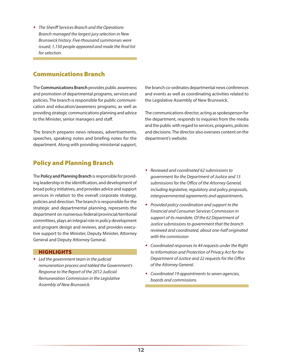<span id="page-17-0"></span> *The Sheriff Services Branch and the Operations Branch managed the largest jury selection in New Brunswick history. Five-thousand summonses were issued; 1,150 people appeared and made the final list for selection.*

### Communications Branch

The **Communications Branch** provides public awareness and promotion of departmental programs, services and policies. The branch is responsible for public communication and education/awareness programs, as well as providing strategic communications planning and advice to the Minister, senior managers and staff.

The branch prepares news releases, advertisements, speeches, speaking notes and briefing notes for the department. Along with providing ministerial support,

the branch co-ordinates departmental news conferences and events as well as coordinating activities related to the Legislative Assembly of New Brunswick.

The communications director, acting as spokesperson for the department, responds to inquiries from the media and the public with regard to services, programs, policies and decisions. The director also oversees content on the department's website.

### Policy and Planning Branch

The **Policy and Planning Branch** is responsible for providing leadership in the identification, and development of broad policy initiatives, and provides advice and support services in relation to the overall corporate strategy, policies and direction. The branch is responsible for the strategic and departmental planning, represents the department on numerous federal/provincial/territorial committees, plays an integral role in policy development and program design and reviews, and provides executive support to the Minister, Deputy Minister, Attorney General and Deputy Attorney General.

#### **HIGHLIGHTS**

 *Led the government team in the judicial remuneration process and tabled the Government's Response to the Report of the 2012 Judicial Remuneration Commission in the Legislative Assembly of New Brunswick.*

- *Reviewed and coordinated 62 submissions to government for the Department of Justice and 15 submissions for the Office of the Attorney General, including legislative, regulatory and policy proposals, intergovernmental agreements and appointments.*
- *Provided policy coordination and support to the Financial and Consumer Services Commission in support of its mandate. Of the 62 Department of Justice submissions to government that the branch reviewed and coordinated, about one-half originated with the commission*
- *Coordinated responses to 44 requests under the Right to Information and Protection of Privacy Act for the Department of Justice and 22 requests for the Office of the Attorney General.*
- *Coordinated 19 appointments to seven agencies, boards and commissions.*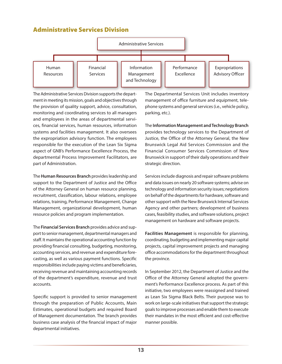### <span id="page-18-0"></span>Administrative Services Division



The Administrative Services Division supports the department in meeting its mission, goals and objectives through the provision of quality support, advice, consultation, monitoring and coordinating services to all managers and employees in the areas of departmental services, financial services, human resources, information systems and facilities management. It also oversees the expropriation advisory function. The employees responsible for the execution of the Lean Six Sigma aspect of GNB's Performance Excellence Process, the departmental Process Improvement Facilitators, are part of Administration.

The **Human Resources Branch** provides leadership and support to the Department of Justice and the Office of the Attorney General on human resource planning, recruitment, classification, labour relations, employee relations, training, Performance Management, Change Management, organizational development, human resource policies and program implementation.

The **Financial Services Branch** provides advice and support to senior management, departmental managers and staff. It maintains the operational accounting function by providing financial consulting, budgeting, monitoring, accounting services, and revenue and expenditure forecasting, as well as various payment functions. Specific responsibilities include paying victims and beneficiaries, receiving revenue and maintaining accounting records of the department's expenditure, revenue and trust accounts.

Specific support is provided to senior management through the preparation of Public Accounts, Main Estimates, operational budgets and required Board of Management documentation. The branch provides business case analysis of the financial impact of major departmental initiatives.

The Departmental Services Unit includes inventory management of office furniture and equipment, telephone systems and general services (i.e., vehicle policy, parking, etc.).

The **Information Management and Technology Branch** provides technology services to the Department of Justice, the Office of the Attorney General, the New Brunswick Legal Aid Services Commission and the Financial Consumer Services Commission of New Brunswick in support of their daily operations and their strategic direction.

Services include diagnosis and repair software problems and data issues on nearly 20 software systems; advise on technology and information security issues; negotiations on behalf of the departments for hardware, software and other support with the New Brunswick Internal Services Agency and other partners; development of business cases, feasibility studies, and software solutions, project management on hardware and software projects.

**Facilities Management** is responsible for planning, coordinating, budgeting and implementing major capital projects, capital improvement projects and managing office accommodations for the department throughout the province.

In September 2012, the Department of Justice and the Office of the Attorney General adopted the government's Performance Excellence process. As part of this initiative, two employees were reassigned and trained as Lean Six Sigma Black Belts. Their purpose was to work on large-scale initiatives that support the strategic goals to improve processes and enable them to execute their mandates in the most efficient and cost-effective manner possible.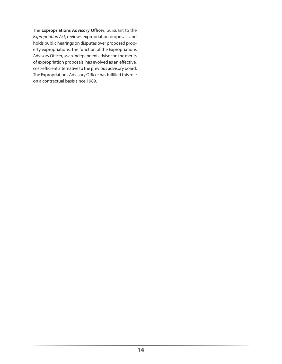The **Expropriations Advisory Officer**, pursuant to the *Expropriation Act*, reviews expropriation proposals and holds public hearings on disputes over proposed property expropriations. The function of the Expropriations Advisory Officer, as an independent advisor on the merits of expropriation proposals, has evolved as an effective, cost-efficient alternative to the previous advisory board. The Expropriations Advisory Officer has fulfilled this role on a contractual basis since 1989.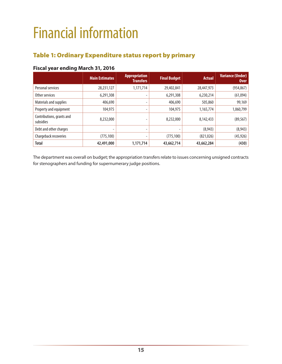## <span id="page-20-0"></span>Financial information

### Table 1: Ordinary Expenditure status report by primary

#### **Fiscal year ending March 31, 2016**

|                                        | <b>Main Estimates</b> | <b>Appropriation</b><br><b>Transfers</b> | <b>Final Budget</b> | <b>Actual</b> | <b>Variance (Under)</b><br><b>Over</b> |
|----------------------------------------|-----------------------|------------------------------------------|---------------------|---------------|----------------------------------------|
| Personal services                      | 28,231,127            | 1,171,714                                | 29,402,841          | 28,447,973    | (954, 867)                             |
| Other services                         | 6,291,308             | ٠                                        | 6,291,308           | 6,230,214     | (61,094)                               |
| Materials and supplies                 | 406,690               | $\overline{\phantom{a}}$                 | 406,690             | 505,860       | 99,169                                 |
| Property and equipment                 | 104,975               | -                                        | 104,975             | 1,165,774     | 1,060,799                              |
| Contributions, grants and<br>subsidies | 8,232,000             |                                          | 8,232,000           | 8,142,433     | (89, 567)                              |
| Debt and other charges                 | -                     | ٠                                        |                     | (8,943)       | (8,943)                                |
| Chargeback recoveries                  | (775, 100)            | -                                        | (775, 100)          | (821, 026)    | (45, 926)                              |
| <b>Total</b>                           | 42,491,000            | 1,171,714                                | 43,662,714          | 43,662,284    | (430)                                  |

The department was overall on budget; the appropriation transfers relate to issues concerning unsigned contracts for stenographers and funding for supernumerary judge positions.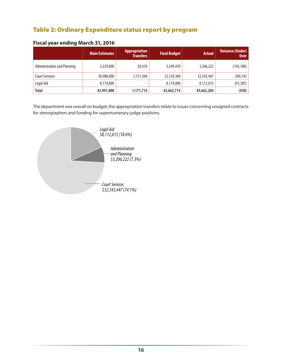### <span id="page-21-0"></span>Table 2: Ordinary Expenditure status report by program

|                                    | <b>Main Estimates</b> | <b>Appropriation</b><br><b>Transfers</b> | <b>Final Budget</b> | <b>Actual</b> | <b>Variance (Under)</b><br><b>Over</b> |
|------------------------------------|-----------------------|------------------------------------------|---------------------|---------------|----------------------------------------|
| <b>Administration and Planning</b> | 3,329,000             | 20,410                                   | 3,349,410           | 3,206,222     | (143, 188)                             |
| <b>Court Services</b>              | 30,988,000            | 1,151,304                                | 32,139,304          | 32,343,447    | 204,143                                |
| Legal Aid                          | 8,174,000             | -                                        | 8,174,000           | 8,112,615     | (61, 385)                              |
| <b>Total</b>                       | 42,491,000            | 1,171,714                                | 43,662,714          | 43,662,284    | (430)                                  |

#### **Fiscal year ending March 31, 2016**

The department was overall on budget; the appropriation transfers relate to issues concerning unsigned contracts for stenographers and funding for supernumerary judge positions.

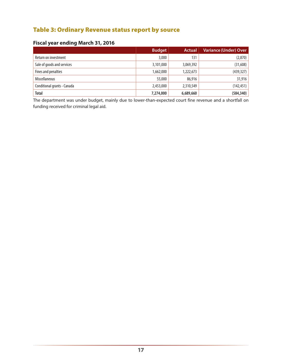### <span id="page-22-0"></span>Table 3: Ordinary Revenue status report by source

#### **Fiscal year ending March 31, 2016**

|                             | <b>Budget</b> | <b>Actual</b> | <b>Variance (Under) Over</b> |
|-----------------------------|---------------|---------------|------------------------------|
| Return on investment        | 3,000         | 131           | (2,870)                      |
| Sale of goods and services  | 3,101,000     | 3,069,392     | (31,608)                     |
| Fines and penalties         | 1,662,000     | 1,222,673     | (439, 327)                   |
| <b>Miscellaneous</b>        | 55,000        | 86,916        | 31,916                       |
| Conditional grants - Canada | 2,453,000     | 2,310,549     | (142, 451)                   |
| <b>Total</b>                | 7,274,000     | 6,689,660     | (584, 340)                   |

The department was under budget, mainly due to lower-than-expected court fine revenue and a shortfall on funding received for criminal legal aid.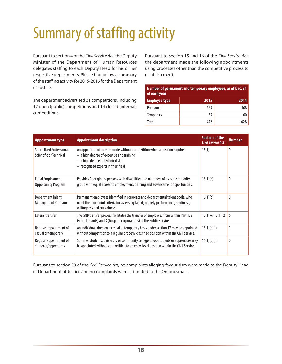## <span id="page-23-0"></span>Summary of staffing activity

Pursuant to section 4 of the *Civil Service Act*, the Deputy Minister of the Department of Human Resources delegates staffing to each Deputy Head for his or her respective departments. Please find below a summary of the staffing activity for 2015-2016 for the Department of Justice.

The department advertised 31 competitions, including 17 open (public) competitions and 14 closed (internal) competitions.

Pursuant to section 15 and 16 of the *Civil Service Act*, the department made the following appointments using processes other than the competitive process to establish merit:

| Number of permanent and temporary employees, as of Dec. 31<br>of each year |      |      |  |
|----------------------------------------------------------------------------|------|------|--|
| <b>Employee type</b>                                                       | 2015 | 2014 |  |
| Permanent                                                                  | 363  | 368  |  |
| Temporary                                                                  | 59   | 60   |  |
| Total                                                                      | 477  | 478  |  |

| <b>Appointment type</b>                               | <b>Appointment description</b>                                                                                                                                                                       | <b>Section of the</b><br><b>Civil Service Act</b> | <b>Number</b> |
|-------------------------------------------------------|------------------------------------------------------------------------------------------------------------------------------------------------------------------------------------------------------|---------------------------------------------------|---------------|
| Specialized Professional,<br>Scientific or Technical  | An appointment may be made without competition when a position requires:<br>$-$ a high degree of expertise and training<br>- a high degree of technical skill<br>- recognized experts in their field | 15(1)                                             | 0             |
| <b>Equal Employment</b><br><b>Opportunity Program</b> | Provides Aboriginals, persons with disabilities and members of a visible minority<br>group with equal access to employment, training and advancement opportunities.                                  | 16(1)(a)                                          | $\theta$      |
| <b>Department Talent</b><br><b>Management Program</b> | Permanent employees identified in corporate and departmental talent pools, who<br>meet the four-point criteria for assessing talent, namely performance, readiness,<br>willingness and criticalness. | 16(1)(b)                                          | $\mathbf{0}$  |
| Lateral transfer                                      | The GNB transfer process facilitates the transfer of employees from within Part 1, 2<br>(school boards) and 3 (hospital corporations) of the Public Service.                                         | $16(1)$ or $16(1)(c)$                             | 6             |
| Regular appointment of<br>casual or temporary         | An individual hired on a casual or temporary basis under section 17 may be appointed<br>without competition to a regular properly classified position within the Civil Service.                      | 16(1)(d)(i)                                       | 1             |
| Regular appointment of<br>students/apprentices        | Summer students, university or community college co-op students or apprentices may<br>be appointed without competition to an entry level position within the Civil Service.                          | 16(1)(d)(ii)                                      | $\mathbf{0}$  |

Pursuant to section 33 of the *Civil Service Act*, no complaints alleging favouritism were made to the Deputy Head of Department of Justice and no complaints were submitted to the Ombudsman.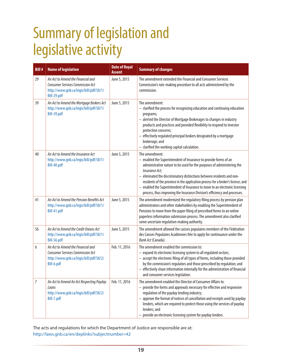## <span id="page-24-0"></span>Summary of legislation and legislative activity

| <b>Bill#</b> | <b>Name of legislation</b>                                                                                                            | <b>Date of Royal</b><br><b>Assent</b> | <b>Summary of changes</b>                                                                                                                                                                                                                                                                                                                                                                                                                                                                                   |
|--------------|---------------------------------------------------------------------------------------------------------------------------------------|---------------------------------------|-------------------------------------------------------------------------------------------------------------------------------------------------------------------------------------------------------------------------------------------------------------------------------------------------------------------------------------------------------------------------------------------------------------------------------------------------------------------------------------------------------------|
| 29           | An Act to Amend the Financial and<br><b>Consumer Services Commission Act</b><br>http://www.gnb.ca/legis/bill/pdf/58/1/<br>Bill-29.pdf | June 5, 2015                          | The amendment extended the Financial and Consumer Services<br>Commission's rule-making procedure to all acts administered by the<br>commission.                                                                                                                                                                                                                                                                                                                                                             |
| 39           | An Act to Amend the Mortgage Brokers Act<br>http://www.gnb.ca/legis/bill/pdf/58/1/<br>Bill-39.pdf                                     | June 5, 2015                          | The amendment:<br>- clarified the process for recognizing education and continuing education<br>programs;<br>- alerted the Director of Mortgage Brokerages to changes in industry<br>products and practices and provided flexibility to respond to investor<br>protection concerns;<br>- effectively regulated principal brokers designated by a mortgage<br>brokerage; and<br>- clarified the working capital calculation.                                                                                 |
| 40           | An Act to Amend the Insurance Act<br>http://www.gnb.ca/legis/bill/pdf/58/1/<br>Bill-40.pdf                                            | June 5, 2015                          | The amendment:<br>- enabled the Superintendent of Insurance to provide forms of an<br>administrative nature to be used for the purposes of administering the<br>Insurance Act;<br>- eliminated the discriminatory distinctions between residents and non-<br>residents of the province in the application process for a broker's licence; and<br>- enabled the Superintendent of Insurance to move to an electronic licensing<br>process, thus improving the Insurance Division's efficiency and processes. |
| 41           | An Act to Amend the Pension Benefits Act<br>http://www.gnb.ca/legis/bill/pdf/58/1/<br>Bill-41.pdf                                     | June 5, 2015                          | The amendment modernized the regulatory filing process by pension plan<br>administrators and other stakeholders by enabling the Superintendent of<br>Pensions to move from the paper filing of prescribed forms to an online<br>paperless information submission process. The amendment also clarified<br>some uncertain regulation-making authority.                                                                                                                                                       |
| 56           | An Act to Amend the Credit Unions Act<br>http://www.gnb.ca/legis/bill/pdf/58/1/<br>Bill-56.pdf                                        | June 5, 2015                          | The amendment allowed the caisses populaires members of the Fédération<br>des Caisses Populaires Acadiennes Itée to apply for continuance under the<br>Bank Act (Canada).                                                                                                                                                                                                                                                                                                                                   |
| 6            | An Act to Amend the Financial and<br><b>Consumer Services Commission Act</b><br>http://www.gnb.ca/legis/bill/pdf/58/2/<br>Bill-6.pdf  | Feb. 11, 2016                         | The amendment enabled the commission to:<br>- expand its electronic licensing system to all regulated sectors;<br>- accept the electronic filing of all types of forms, including those provided<br>by the commission's regulators and those prescribed by regulation; and<br>effectively share information internally for the administration of financial<br>and consumer services legislation.                                                                                                            |
| 7            | An Act to Amend An Act Respecting Payday<br>Loans<br>http://www.gnb.ca/legis/bill/pdf/58/2/<br>Bill-7.pdf                             | Feb. 11, 2016                         | The amendment enabled the Director of Consumer Affairs to:<br>- provide the forms and approvals necessary for effective and responsive<br>regulation of the payday lending industry;<br>- approve the format of notices of cancellation and receipts used by payday<br>lenders, which are required to protect those using the services of payday<br>lenders; and<br>- provide an electronic licensing system for payday lenders.                                                                            |

The acts and regulations for which the Department of Justice are responsible are at: <http://laws.gnb.ca/en/deplinks?subjectnumber=42>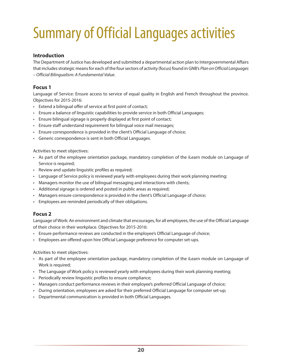## <span id="page-25-0"></span>Summary of Official Languages activities

#### **Introduction**

The Department of Justice has developed and submitted a departmental action plan to Intergovernmental Affairs that includes strategic means for each of the four sectors of activity (focus) found in GNB's *Plan on Official Languages – Official Bilingualism: A Fundamental Value*.

#### **Focus 1**

Language of Service: Ensure access to service of equal quality in English and French throughout the province. Objectives for 2015-2016:

- Extend a bilingual offer of service at first point of contact;
- Ensure a balance of linguistic capabilities to provide service in both Official Languages;
- Ensure bilingual signage is properly displayed at first point of contact;
- Ensure staff understand requirement for bilingual voice mail messages;
- Ensure correspondence is provided in the client's Official Language of choice;
- Generic correspondence is sent in both Official Languages.

Activities to meet objectives:

- As part of the employee orientation package, mandatory completion of the iLearn module on Language of Service is required;
- Review and update linguistic profiles as required;
- Language of Service policy is reviewed yearly with employees during their work planning meeting;
- Managers monitor the use of bilingual messaging and interactions with clients;
- Additional signage is ordered and posted in public areas as required;
- Managers ensure correspondence is provided in the client's Official Language of choice;
- Employees are reminded periodically of their obligations.

#### **Focus 2**

Language of Work: An environment and climate that encourages, for all employees, the use of the Official Language of their choice in their workplace. Objectives for 2015-2016:

- Ensure performance reviews are conducted in the employee's Official Language of choice;
- Employees are offered upon hire Official Language preference for computer set-ups.

Activities to meet objectives:

- As part of the employee orientation package, mandatory completion of the iLearn module on Language of Work is required;
- The Language of Work policy is reviewed yearly with employees during their work planning meeting;
- Periodically review linguistic profiles to ensure compliance;
- Managers conduct performance reviews in their employee's preferred Official Language of choice;
- During orientation, employees are asked for their preferred Official Language for computer set-up;
- Departmental communication is provided in both Official Languages.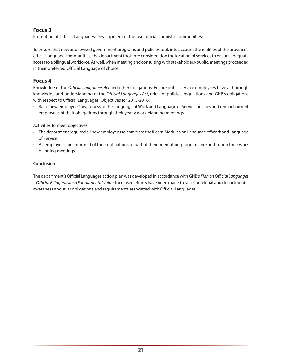#### **Focus 3**

Promotion of Official Languages: Development of the two official linguistic communities:

To ensure that new and revised government programs and policies took into account the realities of the province's official language communities, the department took into consideration the location of services to ensure adequate access to a bilingual workforce. As well, when meeting and consulting with stakeholders/public, meetings proceeded in their preferred Official Language of choice.

#### **Focus 4**

Knowledge of the *Official Languages Act* and other obligations: Ensure public service employees have a thorough knowledge and understanding of the *Official Languages Act*, relevant policies, regulations and GNB's obligations with respect to Official Languages. Objectives for 2015-2016:

• Raise new employees' awareness of the Language of Work and Language of Service policies and remind current employees of their obligations through their yearly work planning meetings.

Activities to meet objectives:

- The department required all new employees to complete the iLearn Modules on Language of Work and Language of Service;
- All employees are informed of their obligations as part of their orientation program and/or through their work planning meetings.

#### **Conclusion**

The department's Official Languages action plan was developed in accordance with GNB's *Plan on Official Languages – Official Bilingualism: A Fundamental Value*. Increased efforts have been made to raise individual and departmental awareness about its obligations and requirements associated with Official Languages.